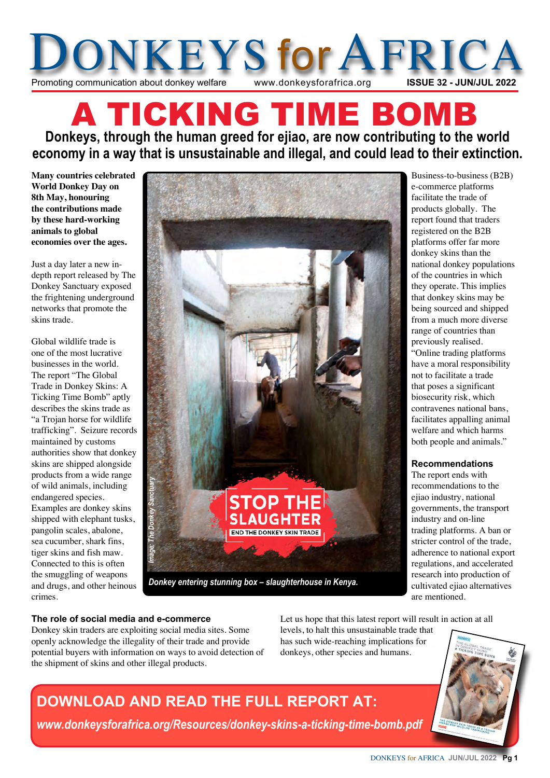

# A TICKING TIME BOM **Donkeys, through the human greed for ejiao, are now contributing to the world economy in a way that is unsustainable and illegal, and could lead to their extinction.**

**Many countries celebrated World Donkey Day on 8th May, honouring the contributions made by these hard-working animals to global economies over the ages.**

Just a day later a new indepth report released by The Donkey Sanctuary exposed the frightening underground networks that promote the skins trade.

Global wildlife trade is one of the most lucrative businesses in the world. The report "The Global Trade in Donkey Skins: A Ticking Time Bomb" aptly describes the skins trade as "a Trojan horse for wildlife trafficking". Seizure records maintained by customs authorities show that donkey skins are shipped alongside products from a wide range of wild animals, including endangered species. Examples are donkey skins shipped with elephant tusks, pangolin scales, abalone, sea cucumber, shark fins, tiger skins and fish maw. Connected to this is often the smuggling of weapons and drugs, and other heinous crimes.



Business-to-business (B2B) e-commerce platforms facilitate the trade of products globally. The report found that traders registered on the B2B platforms offer far more donkey skins than the national donkey populations of the countries in which they operate. This implies that donkey skins may be being sourced and shipped from a much more diverse range of countries than previously realised. "Online trading platforms have a moral responsibility not to facilitate a trade that poses a significant biosecurity risk, which contravenes national bans, facilitates appalling animal welfare and which harms both people and animals."

#### **Recommendations**

The report ends with recommendations to the ejiao industry, national governments, the transport industry and on-line trading platforms. A ban or stricter control of the trade, adherence to national export regulations, and accelerated research into production of cultivated ejiao alternatives are mentioned.

#### **The role of social media and e-commerce**

Donkey skin traders are exploiting social media sites. Some openly acknowledge the illegality of their trade and provide potential buyers with information on ways to avoid detection of the shipment of skins and other illegal products.

Let us hope that this latest report will result in action at all

levels, to halt this unsustainable trade that has such wide-reaching implications for donkeys, other species and humans.



## **DOWNLOAD AND READ THE FULL REPORT AT:**

*www.donkeysforafrica.org/Resources/donkey-skins-a-ticking-time-bomb.pdf*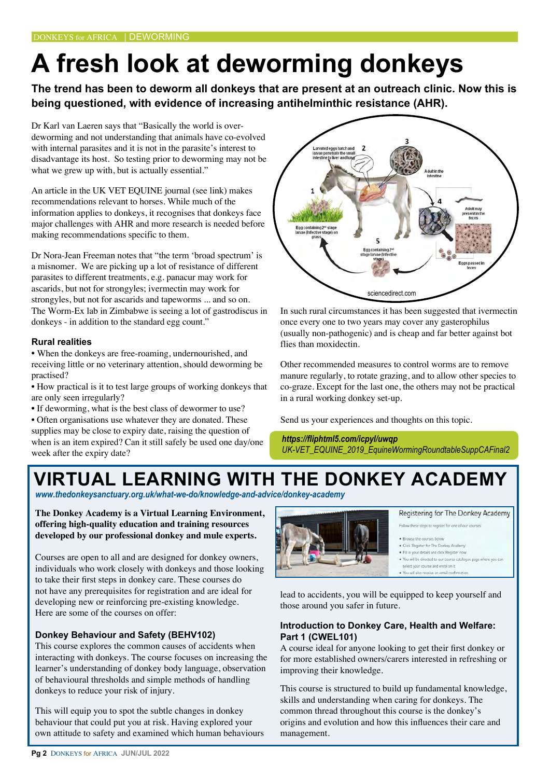# **A fresh look at deworming donkeys**

**The trend has been to deworm all donkeys that are present at an outreach clinic. Now this is being questioned, with evidence of increasing antihelminthic resistance (AHR).**

Dr Karl van Laeren says that "Basically the world is overdeworming and not understanding that animals have co-evolved with internal parasites and it is not in the parasite's interest to disadvantage its host. So testing prior to deworming may not be what we grew up with, but is actually essential."

An article in the UK VET EQUINE journal (see link) makes recommendations relevant to horses. While much of the information applies to donkeys, it recognises that donkeys face major challenges with AHR and more research is needed before making recommendations specific to them.

Dr Nora-Jean Freeman notes that "the term 'broad spectrum' is a misnomer. We are picking up a lot of resistance of different parasites to different treatments, e.g. panacur may work for ascarids, but not for strongyles; ivermectin may work for strongyles, but not for ascarids and tapeworms ... and so on. The Worm-Ex lab in Zimbabwe is seeing a lot of gastrodiscus in donkeys - in addition to the standard egg count."

#### **Rural realities**

**•** When the donkeys are free-roaming, undernourished, and receiving little or no veterinary attention, should deworming be practised?

• How practical is it to test large groups of working donkeys that are only seen irregularly?

• If deworming, what is the best class of dewormer to use?

• Often organisations use whatever they are donated. These supplies may be close to expiry date, raising the question of when is an item expired? Can it still safely be used one day/one week after the expiry date?



In such rural circumstances it has been suggested that ivermectin once every one to two years may cover any gasterophilus (usually non-pathogenic) and is cheap and far better against bot flies than moxidectin.

Other recommended measures to control worms are to remove manure regularly, to rotate grazing, and to allow other species to co-graze. Except for the last one, the others may not be practical in a rural working donkey set-up.

Send us your experiences and thoughts on this topic.

*https://fliphtml5.com/icpyl/uwqp UK-VET\_EQUINE\_2019\_EquineWormingRoundtableSuppCAFinal2*

# **VIRTUAL LEARNING WITH THE DONKEY ACADEMY**

*www.thedonkeysanctuary.org.uk/what-we-do/knowledge-and-advice/donkey-academy*

**The Donkey Academy is a Virtual Learning Environment, offering high-quality education and training resources developed by our professional donkey and mule experts.**

Courses are open to all and are designed for donkey owners, individuals who work closely with donkeys and those looking to take their first steps in donkey care. These courses do not have any prerequisites for registration and are ideal for developing new or reinforcing pre-existing knowledge. Here are some of the courses on offer:

#### **Donkey Behaviour and Safety (BEHV102)**

This course explores the common causes of accidents when interacting with donkeys. The course focuses on increasing the learner's understanding of donkey body language, observation of behavioural thresholds and simple methods of handling donkeys to reduce your risk of injury.

This will equip you to spot the subtle changes in donkey behaviour that could put you at risk. Having explored your own attitude to safety and examined which human behaviours



Registering for The Donkey Academy

Follow these steps to register for one of our courses

- a the courses he . Click 'Register for The Donkey Academy
- . Fill in your details and click Regist
- . You will be directed to our course catalogue page where you can lect your course and enrol on it
- . You will also receive an email confirm

lead to accidents, you will be equipped to keep yourself and those around you safer in future.

#### **Introduction to Donkey Care, Health and Welfare: Part 1 (CWEL101)**

A course ideal for anyone looking to get their first donkey or for more established owners/carers interested in refreshing or improving their knowledge.

This course is structured to build up fundamental knowledge, skills and understanding when caring for donkeys. The common thread throughout this course is the donkey's origins and evolution and how this influences their care and management.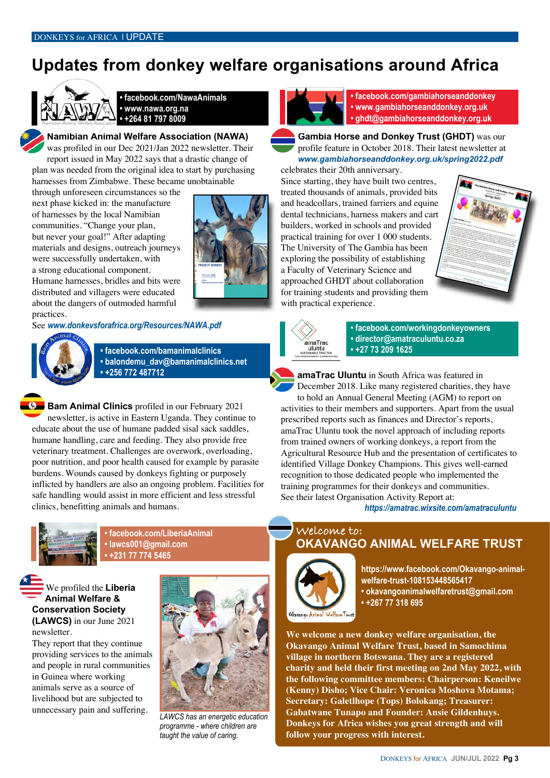## **Updates from donkey welfare organisations around Africa**



**• facebook.com/NawaAnimals • www.nawa.org.na • +264 81 797 8009**

**Namibian Animal Welfare Association (NAWA)** was profiled in our Dec 2021/Jan 2022 newsletter. Their report issued in May 2022 says that a drastic change of plan was needed from the original idea to start by purchasing harnesses from Zimbabwe. These became unobtainable

through unforeseen circumstances so the next phase kicked in: the manufacture of harnesses by the local Namibian communities. "Change your plan, but never your goal!" After adapting materials and designs, outreach journeys were successfully undertaken, with a strong educational component. Humane harnesses, bridles and bits were distributed and villagers were educated about the dangers of outmoded harmful practices.



See *www.donkeysforafrica.org/Resources/NAWA.pdf*



**• facebook.com/bamanimalclinics • balondemu\_dav@bamanimalclinics.net • +256 772 487712**

**Bam Animal Clinics** profiled in our February 2021 newsletter, is active in Eastern Uganda. They continue to educate about the use of humane padded sisal sack saddles, humane handling, care and feeding. They also provide free veterinary treatment. Challenges are overwork, overloading, poor nutrition, and poor health caused for example by parasite burdens. Wounds caused by donkeys fighting or purposely inflicted by handlers are also an ongoing problem. Facilities for safe handling would assist in more efficient and less stressful clinics, benefitting animals and humans.



**• facebook.com/LiberiaAnimal • lawcs001@gmail.com • +231 77 774 5465**

We profiled the **Liberia Animal Welfare & Conservation Society (LAWCS)** in our June 2021 newsletter.

They report that they continue providing services to the animals and people in rural communities in Guinea where working animals serve as a source of livelihood but are subjected to unnecessary pain and suffering.



*LAWCS has an energetic education programme - where children are taught the value of caring.*



**• facebook.com/gambiahorseanddonkey • www.gambiahorseanddonkey.org.uk • ghdt@gambiahorseanddonkey.org.uk**

**Gambia Horse and Donkey Trust (GHDT)** was our profile feature in October 2018. Their latest newsletter at *[www.gambiahorseanddonkey.org.uk/spring2022.pd](http://www.gambiahorseanddonkey.org.uk/spring2022.pdf)f* 

celebrates their 20th anniversary.

Since starting, they have built two centres, treated thousands of animals, provided bits and headcollars, trained farriers and equine dental technicians, harness makers and cart builders, worked in schools and provided practical training for over 1 000 students. The University of The Gambia has been exploring the possibility of establishing a Faculty of Veterinary Science and approached GHDT about collaboration for training students and providing them with practical experience.





**• facebook.com/workingdonkeyowners • director@amatraculuntu.co.za • +27 73 209 1625**

**amaTrac Uluntu** in South Africa was featured in December 2018. Like many registered charities, they have to hold an Annual General Meeting (AGM) to report on activities to their members and supporters. Apart from the usual prescribed reports such as finances and Director's reports, amaTrac Uluntu took the novel approach of including reports from trained owners of working donkeys, a report from the Agricultural Resource Hub and the presentation of certificates to identified Village Donkey Champions. This gives well-earned recognition to those dedicated people who implemented the training programmes for their donkeys and communities. See their latest Organisation Activity Report at:

*https://amatrac.wixsite.com/amatraculuntu*

#### **OKAVANGO ANIMAL WELFARE TRUST Welcome to:**



**https://www.facebook.com/Okavango-animalwelfare-trust-108153448565417 • okavangoanimalwelfaretrust@gmail.com • +267 77 318 695**

Okavango Animal Welfare Trust

**We welcome a new donkey welfare organisation, the Okavango Animal Welfare Trust, based in Samochima village in northern Botswana. They are a registered charity and held their first meeting on 2nd May 2022, with the following committee members: Chairperson: Keneilwe (Kenny) Disho; Vice Chair: Veronica Moshova Motama; Secretary: Galetlhope (Tops) Bolokang; Treasurer: Gabatwane Tunapo and Founder: Ansie Gildenhuys. Donkeys for Africa wishes you great strength and will follow your progress with interest.**